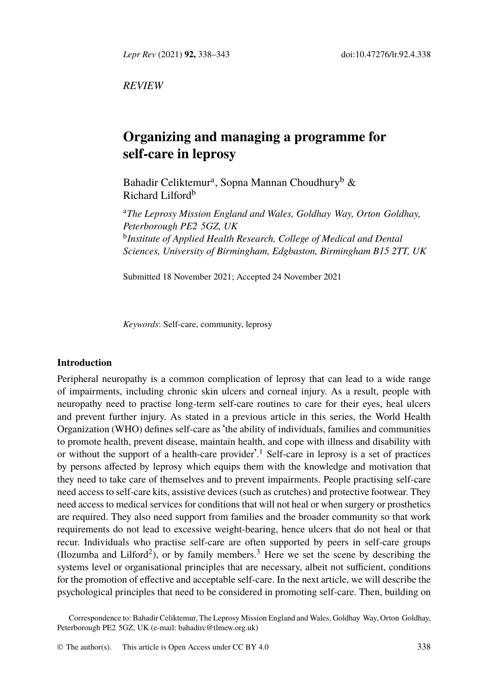*Lepr Rev* (2021) **92,** 338–343 doi:10.47276/lr.92.4.338

*REVIEW*

# **Organizing and managing a programme for self-care in leprosy**

Bahadir Celiktemur<sup>a</sup>, Sopna Mannan Choudhury<sup>b</sup> & Richard Lilford<sup>b</sup>

<sup>a</sup>*The Leprosy Mission England and Wales, Goldhay Way, Orton Goldhay, Peterborough PE2 5GZ, UK* b *Institute of Applied Health Research, College of Medical and Dental Sciences, University of Birmingham, Edgbaston, Birmingham B15 2TT, UK*

Submitted 18 November 2021; Accepted 24 November 2021

*Keywords*: Self-care, community, leprosy

# **Introduction**

Peripheral neuropathy is a common complication of leprosy that can lead to a wide range of impairments, including chronic skin ulcers and corneal injury. As a result, people with neuropathy need to practise long-term self-care routines to care for their eyes, heal ulcers and prevent further injury. As stated in a previous article in this series, the World Health Organization (WHO) defines self-care as 'the ability of individuals, families and communities to promote health, pre[ve](#page-4-0)nt disease, maintain heal[th](#page-4-1), and cope with illness and disability with or without the support of a health-care provider'. <sup>1</sup> Self-care in leprosy is a set of practices by persons affected by leprosy which equips them with the knowledge and motivation that they need to take care of themselves and to prevent impairments. People practising self-care need access to self-care kits, assistive devices (such as crutches) and protective footwear. They need access to medical services for conditions that will not heal or when surgery or prosthetics are required. They also need [support from familie](mailto:bahadirc@tlmew.org.uk)s and the broader community so that work requirements do not lead to excessive weight-bearing, hence ulcers that do not heal or that recur. Individuals who practise self-care [are often](http://creativecommons.org/licenses/by/4.0/) supported by peers in self-care groups (Ilozumba and Lilford<sup>2</sup>), or by family members.<sup>3</sup> Here we set the scene by describing the systems level or organisational principles that are necessary, albeit not sufficient, conditions for the promotion of effective and acceptable self-care. In the next article, we will describe the psychological principles that need to be considered in promoting self-care. Then, building on

Correspondence to: Bahadir Celiktemur, The Leprosy Mission England and Wales, Goldhay Way, Orton Goldhay, Peterborough PE2 5GZ, UK (e-mail: bahadirc@tlmew.org.uk)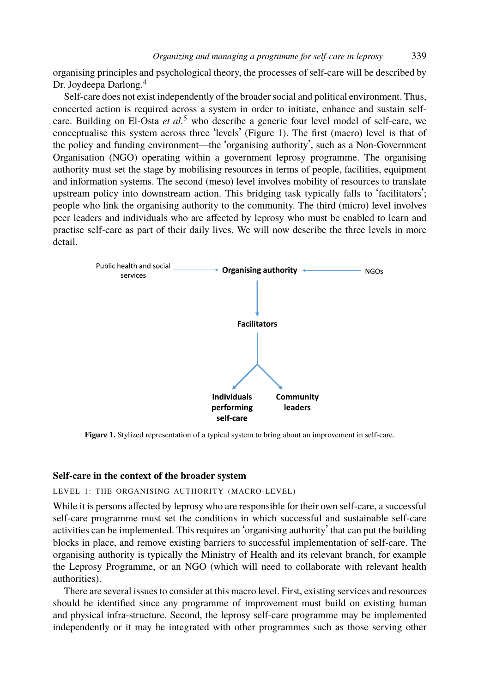# *Organizing and managing a programme for self-care in leprosy* 339

organising principles and psychological theory, the processes of self-care will be described by Dr. Joydeepa Darlong.<sup>4</sup>

Self-care does not exist independently of the broader social and political environment. Thus, concerted action is required across a system in order to initiate, enhance and sustain selfcare. Building on El-Osta *et al.*<sup>5</sup> who describe a generic four level model of self-care, we conceptualise this system across three 'levels' (Figure 1). The first (macro) level is that of the policy and funding environment—the 'organising authority', such as a Non-Government Organisation (NGO) operating within a government leprosy programme. The organising authority must set the stage by mobilising resources in terms of people, facilities, equipment and information systems. The second (meso) level involves mobility of resources to translate upstream policy into downstream action. This bridging task typically falls to 'facilitators'; people who link the organising authority to the community. The third (micro) level involves peer leaders and individuals who are affected by leprosy who must be enabled to learn and practise self-care as part of their daily lives. We will now describe the three levels in more detail.



**Figure 1.** Stylized representation of a typical system to bring about an improvement in self-care.

# **Self-care in the context of the broader system**

# LEVEL 1: THE ORGANISING AUTHORITY (MACRO-LEVEL)

While it is persons affected by leprosy who are responsible for their own self-care, a successful self-care programme must set the conditions in which successful and sustainable self-care activities can be implemented. This requires an 'organising authority' that can put the building blocks in place, and remove existing barriers to successful implementation of self-care. The organising authority is typically the Ministry of Health and its relevant branch, for example the Leprosy Programme, or an NGO (which will need to collaborate with relevant health authorities).

There are several issues to consider at this macro level. First, existing services and resources should be identified since any programme of improvement must build on existing human and physical infra-structure. Second, the leprosy self-care programme may be implemented independently or it may be integrated with other programmes such as those serving other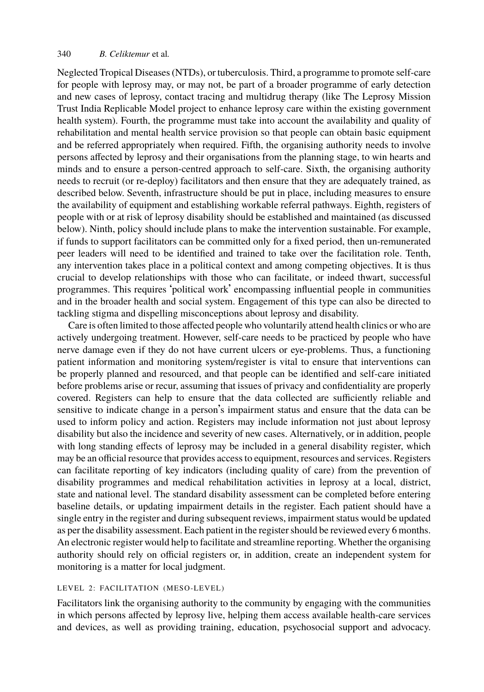#### 340 *B. Celiktemur* et al*.*

Neglected Tropical Diseases (NTDs), or tuberculosis. Third, a programme to promote self-care for people with leprosy may, or may not, be part of a broader programme of early detection and new cases of leprosy, contact tracing and multidrug therapy (like The Leprosy Mission Trust India Replicable Model project to enhance leprosy care within the existing government health system). Fourth, the programme must take into account the availability and quality of rehabilitation and mental health service provision so that people can obtain basic equipment and be referred appropriately when required. Fifth, the organising authority needs to involve persons affected by leprosy and their organisations from the planning stage, to win hearts and minds and to ensure a person-centred approach to self-care. Sixth, the organising authority needs to recruit (or re-deploy) facilitators and then ensure that they are adequately trained, as described below. Seventh, infrastructure should be put in place, including measures to ensure the availability of equipment and establishing workable referral pathways. Eighth, registers of people with or at risk of leprosy disability should be established and maintained (as discussed below). Ninth, policy should include plans to make the intervention sustainable. For example, if funds to support facilitators can be committed only for a fixed period, then un-remunerated peer leaders will need to be identified and trained to take over the facilitation role. Tenth, any intervention takes place in a political context and among competing objectives. It is thus crucial to develop relationships with those who can facilitate, or indeed thwart, successful programmes. This requires 'political work' encompassing influential people in communities and in the broader health and social system. Engagement of this type can also be directed to tackling stigma and dispelling misconceptions about leprosy and disability.

Care is often limited to those affected people who voluntarily attend health clinics or who are actively undergoing treatment. However, self-care needs to be practiced by people who have nerve damage even if they do not have current ulcers or eye-problems. Thus, a functioning patient information and monitoring system/register is vital to ensure that interventions can be properly planned and resourced, and that people can be identified and self-care initiated before problems arise or recur, assuming that issues of privacy and confidentiality are properly covered. Registers can help to ensure that the data collected are sufficiently reliable and sensitive to indicate change in a person's impairment status and ensure that the data can be used to inform policy and action. Registers may include information not just about leprosy disability but also the incidence and severity of new cases. Alternatively, or in addition, people with long standing effects of leprosy may be included in a general disability register, which may be an official resource that provides access to equipment, resources and services. Registers can facilitate reporting of key indicators (including quality of care) from the prevention of disability programmes and medical rehabilitation activities in leprosy at a local, district, state and national level. The standard disability assessment can be completed before entering baseline details, or updating impairment details in the register. Each patient should have a single entry in the register and during subsequent reviews, impairment status would be updated as per the disability assessment. Each patient in the register should be reviewed every 6 months. An electronic register would help to facilitate and streamline reporting. Whether the organising authority should rely on official registers or, in addition, create an independent system for monitoring is a matter for local judgment.

### LEVEL 2: FACILITATION (MESO-LEVEL)

Facilitators link the organising authority to the community by engaging with the communities in which persons affected by leprosy live, helping them access available health-care services and devices, as well as providing training, education, psychosocial support and advocacy.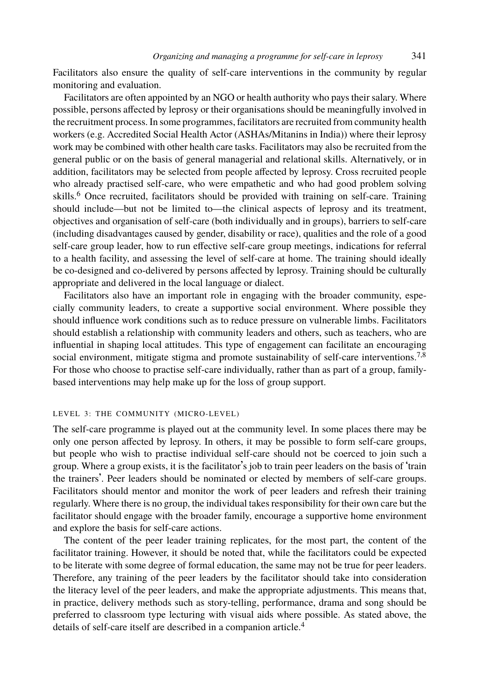### *Organizing and managing a programme for self-care in leprosy* 341

Facilitators also ensure the quality of self-care interventions in the community by regular monit[o](#page-5-0)ring and evaluation.

Facilitators are often appointed by an NGO or health authority who pays their salary. Where possible, persons affected by leprosy or their organisations should be meaningfully involved in the recruitment process. In some programmes, facilitators are recruited from community health workers (e.g. Accredited Social Health Actor (ASHAs/Mitanins in India)) where their leprosy work may be combined with other health care tasks. Facilitators may also be recruited from the general public or on the basis of general managerial and relational skills. Alternatively, or in addition, facilitators may be selected from people affected by leprosy. Cross recruited people who already practised self-care, who were empathetic and who had good problem solving skills.<sup>6</sup> Once recruited, facilitators should be provided with training on self-care. Training should include—but not be limited to—the clinical aspects of leprosy and its treatment, objectives and organisation of self-care (both individually and in groups), barriers to self-care (including disadvantages caused by gender, disability or race), qualities and the role of a good self-care group leader, how to run effective self-care group meetings, indications for refer[r](#page-5-1)[al](#page-5-2) to a health facility, and assessing the level of self-care at home. The training should ideally be co-designed and co-delivered by persons affected by leprosy. Training should be culturally appropriate and delivered in the local language or dialect.

Facilitators also have an important role in engaging with the broader community, especially community leaders, to create a supportive social environment. Where possible they should influence work conditions such as to reduce pressure on vulnerable limbs. Facilitators should establish a relationship with community leaders and others, such as teachers, who are influential in shaping local attitudes. This type of engagement can facilitate an encouraging social environment, mitigate stigma and promote sustainability of self-care interventions.<sup>7,8</sup> For those who choose to practise self-care individually, rather than as part of a group, familybased interventions may help make up for the loss of group support.

### LEVEL 3: THE COMMUNITY (MICRO-LEVEL)

The self-care programme is played out at the community level. In some places there may be only one person affected by leprosy. In others, it may be possible to form self-care groups, but people who wish to practise individual self-care should not be coerced to join such a group. Where a group exists, it is the facilitator's job to train peer leaders on the basis of 'train the trainers'. Peer leaders should be nominated or elected by members of self-care groups. Facilitators should mentor and monitor the work of peer leaders and refresh their training regularly. Where there is no group, the individual takes responsibility for their own care but the facilitator should engage with the broader family, encourage [a](#page-4-2) supportive home environment and explore the basis for self-care actions.

The content of the peer leader training replicates, for the most part, the content of the facilitator training. However, it should be noted that, while the facilitators could be expected to be literate with some degree of formal education, the same may not be true for peer leaders. Therefore, any training of the peer leaders by the facilitator should take into consideration the literacy level of the peer leaders, and make the appropriate adjustments. This means that, in practice, delivery methods such as story-telling, performance, drama and song should be preferred to classroom type lecturing with visual aids where possible. As stated above, the details of self-care itself are described in a companion article.<sup>4</sup>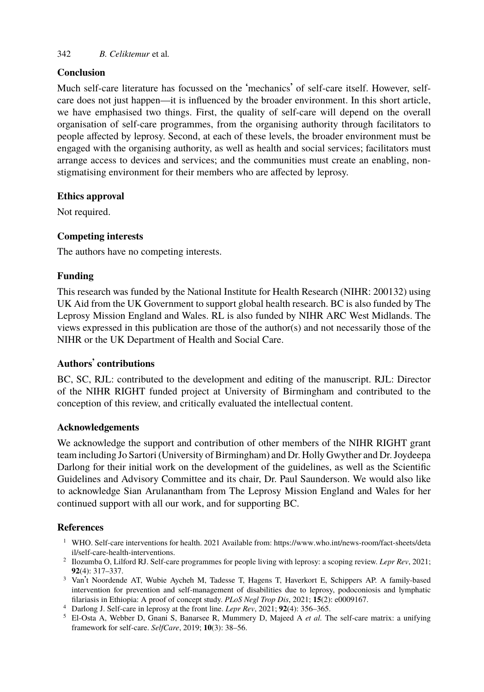# 342 *B. Celiktemur* et al*.*

### **Conclusion**

Much self-care literature has focussed on the 'mechanics' of self-care itself. However, selfcare does not just happen—it is influenced by the broader environment. In this short article, we have emphasised two things. First, the quality of self-care will depend on the overall organisation of self-care programmes, from the organising authority through facilitators to people affected by leprosy. Second, at each of these levels, the broader environment must be engaged with the organising authority, as well as health and social services; facilitators must arrange access to devices and services; and the communities must create an enabling, nonstigmatising environment for their members who are affected by leprosy.

### **Ethics approval**

Not required.

## **Competing interests**

The authors have no competing interests.

### **Funding**

This research was funded by the National Institute for Health Research (NIHR: 200132) using UK Aid from the UK Government to support global health research. BC is also funded by The Leprosy Mission England and Wales. RL is also funded by NIHR ARC West Midlands. The views expressed in this publication are those of the author(s) and not necessarily those of the NIHR or the UK Department of Health and Social Care.

### **Authors**' **contributions**

BC, SC, RJL: contributed to the development and editing of the manuscript. RJL: Director of the NIHR RIGHT funded project at University of Birmingham and contributed to the conception of this review, and critically evaluated the intellectual content.

#### **Acknowledgements**

<span id="page-4-1"></span><span id="page-4-0"></span>We [acknowledge the support](https://www.who.int/news-room/fact-sheets/detail/self-care-health-interventions) and contribution of oth[er members of the NIHR RIGHT grant](https://www.who.int/news-room/fact-sheets/detail/self-care-health-interventions) team including Jo Sartori (University of Birmingham) and Dr. Holly Gwyther and Dr. Joydeepa Darlong for their initial work on the development of the guidelines, as well as the Scientific Guidelines and Advisory Committee and its chair, Dr. Paul Saunderson. We would also like to acknowledge Sian Arulanantham from The Leprosy Mission England and Wales for her continued support with all our work, and for supporting BC.

### <span id="page-4-2"></span>**References**

- <sup>1</sup> WHO. Self-care interventions for health. 2021 Available from: https://www.who.int/news-room/fact-sheets/deta il/self-care-health-interventions.
- 2 Ilozumba O, Lilford RJ. Self-care programmes for people living with leprosy: a scoping review. *Lepr Rev*, 2021; **92**(4): 317–337.
- <sup>3</sup> Van't Noordende AT, Wubie Aycheh M, Tadesse T, Hagens T, Haverkort E, Schippers AP. A family-based intervention for prevention and self-management of disabilities due to leprosy, podoconiosis and lymphatic filariasis in Ethiopia: A proof of concept study. *PLoS Negl Trop Dis*, 2021; **15**(2): e0009167.
- <sup>4</sup> Darlong J. Self-care in leprosy at the front line. *Lepr Rev*, 2021; **92**(4): 356–365.
- <sup>5</sup> El-Osta A, Webber D, Gnani S, Banarsee R, Mummery D, Majeed A *et al.* The self-care matrix: a unifying framework for self-care. *SelfCare*, 2019; **10**(3): 38–56.